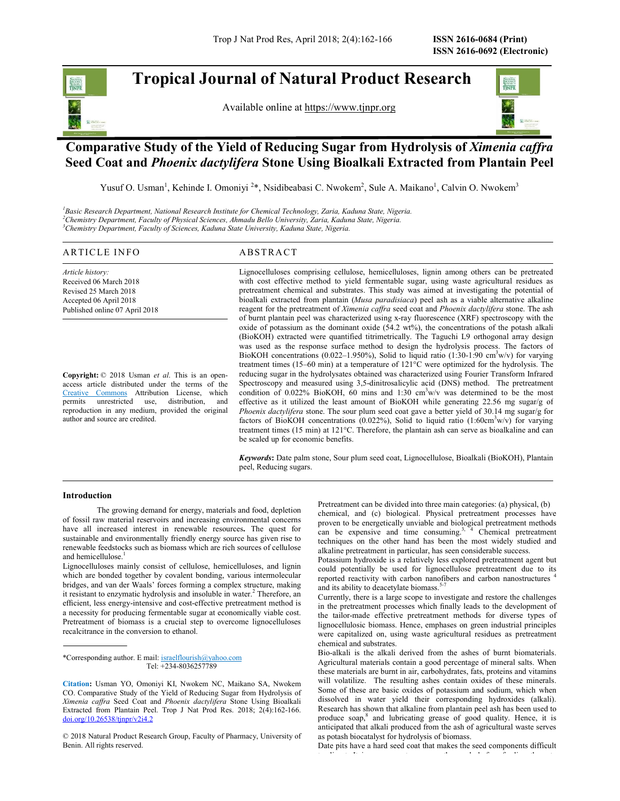# Tropical Journal of Natural Product Research

Available online at https://www.tjnpr.org



## Comparative Study of the Yield of Reducing Sugar from Hydrolysis of Ximenia caffra Seed Coat and Phoenix dactylifera Stone Using Bioalkali Extracted from Plantain Peel

Yusuf O. Usman<sup>1</sup>, Kehinde I. Omoniyi<sup>2\*</sup>, Nsidibeabasi C. Nwokem<sup>2</sup>, Sule A. Maikano<sup>1</sup>, Calvin O. Nwokem<sup>3</sup>

<sup>1</sup>Basic Research Department, National Research Institute for Chemical Technology, Zaria, Kaduna State, Nigeria.<br><sup>2</sup>Chemistry Department, Faculty of Physical Sciences, Ahmadu Bello University, Zaria, Kaduna State, Nigeria.

Article history: Received 06 March 2018 Revised 25 March 2018 Accepted 06 April 2018 Published online 07 April 2018

Copyright: © 2018 Usman et al. This is an openaccess article distributed under the terms of the Creative Commons Attribution License, which permits unrestricted use, distribution, and reproduction in any medium, provided the original author and source are credited.

Trop J Nat Prod Res, April 2018; 2(4):162-166 ISSN 2616-0684 (Print)<br> **A RTI COPICAL JOUIT NATURE AND A RTI COPICAL RESEARCH**<br>
A Vailable online at <u>https://www.timprogre</u><br>
A Vailable online at <u>https://www.timprogre</u><br>
A Lignocelluloses comprising cellulose, hemicelluloses, lignin among others can be pretreated with cost effective method to yield fermentable sugar, using waste agricultural residues as pretreatment chemical and substrates. This study was aimed at investigating the potential of bioalkali extracted from plantain (Musa paradisiaca) peel ash as a viable alternative alkaline reagent for the pretreatment of Ximenia caffra seed coat and Phoenix dactylifera stone. The ash of burnt plantain peel was characterized using x-ray fluorescence (XRF) spectroscopy with the oxide of potassium as the dominant oxide (54.2 wt%), the concentrations of the potash alkali (BioKOH) extracted were quantified titrimetrically. The Taguchi L9 orthogonal array design was used as the response surface method to design the hydrolysis process. The factors of BioKOH concentrations (0.022–1.950%), Solid to liquid ratio (1:30-1:90 cm<sup>3</sup>w/v) for varying treatment times (15–60 min) at a temperature of 121°C were optimized for the hydrolysis. The reducing sugar in the hydrolysates obtained was characterized using Fourier Transform Infrared Spectroscopy and measured using 3,5-dinitrosalicylic acid (DNS) method. The pretreatment condition of 0.022% BioKOH, 60 mins and 1:30 cm<sup>3</sup>w/v was determined to be the most permits unrestricted use, distribution, and effective as it utilized the least amount of BioKOH while generating 22.56 mg sugar/g of Phoenix dactylifera stone. The sour plum seed coat gave a better yield of 30.14 mg sugar/g for factors of BioKOH concentrations (0.022%), Solid to liquid ratio (1:60cm<sup>3</sup>w/v) for varying treatment times (15 min) at 121°C. Therefore, the plantain ash can serve as bioalkaline and can be scaled up for economic benefits.

> Keywords: Date palm stone, Sour plum seed coat, Lignocellulose, Bioalkali (BioKOH), Plantain peel, Reducing sugars.

### Introduction

The growing demand for energy, materials and food, depletion of fossil raw material reservoirs and increasing environmental concerns have all increased interest in renewable resources. The quest for sustainable and environmentally friendly energy source has given rise to renewable feedstocks such as biomass which are rich sources of cellulose and hemicellulose.1

Lignocelluloses mainly consist of cellulose, hemicelluloses, and lignin which are bonded together by covalent bonding, various intermolecular bridges, and van der Waals' forces forming a complex structure, making and its ability to deacetylate biomass.<sup>52</sup> it resistant to enzymatic hydrolysis and insoluble in water.<sup>2</sup> Therefore, and the same subsequent of the same some efficient, less energy-intensive and cost-effective pretreatment method is a necessity for producing fermentable sugar at economically viable cost. Pretreatment of biomass is a crucial step to overcome lignocelluloses recalcitrance in the conversion to ethanol.

\*Corresponding author. E mail: israelflourish@yahoo.com Tel: +234-8036257789

 $©$  2018 Natural Product Research Group, Faculty of Pharmacy, University of Benin. All rights reserved.

Pretreatment can be divided into three main categories: (a) physical, (b) chemical, and (c) biological. Physical pretreatment processes have proven to be energetically unviable and biological pretreatment methods can be expensive and time consuming.<sup>3, 4</sup> Chemical pretreatment techniques on the other hand has been the most widely studied and alkaline pretreatment in particular, has seen considerable success.

Potassium hydroxide is a relatively less explored pretreatment agent but could potentially be used for lignocellulose pretreatment due to its reported reactivity with carbon nanofibers and carbon nanostructures '

Currently, there is a large scope to investigate and restore the challenges in the pretreatment processes which finally leads to the development of the tailor-made effective pretreatment methods for diverse types of lignocellulosic biomass. Hence, emphases on green industrial principles were capitalized on, using waste agricultural residues as pretreatment chemical and substrates.

Bio-alkali is the alkali derived from the ashes of burnt biomaterials. Agricultural materials contain a good percentage of mineral salts. When these materials are burnt in air, carbohydrates, fats, proteins and vitamins will volatilize. The resulting ashes contain oxides of these minerals. Some of these are basic oxides of potassium and sodium, which when dissolved in water yield their corresponding hydroxides (alkali). Research has shown that alkaline from plantain peel ash has been used to produce soap, $^8$  and lubricating grease of good quality. Hence, it is anticipated that alkali produced from the ash of agricultural waste serves as potash biocatalyst for hydrolysis of biomass.

Date pits have a hard seed coat that makes the seed components difficult to digest. It is necessary to process the seeds before feeding the seeds before feeding them to process them t<br>It is necessary to process the seeds before feeding them to be forest them to be forest them to be forest them

Citation: Usman YO, Omoniyi KI, Nwokem NC, Maikano SA, Nwokem CO. Comparative Study of the Yield of Reducing Sugar from Hydrolysis of Ximenia caffra Seed Coat and Phoenix dactylifera Stone Using Bioalkali Extracted from Plantain Peel. Trop J Nat Prod Res. 2018; 2(4):162-166.<br>doi.org/10.26538/tjnpr/v2i4.2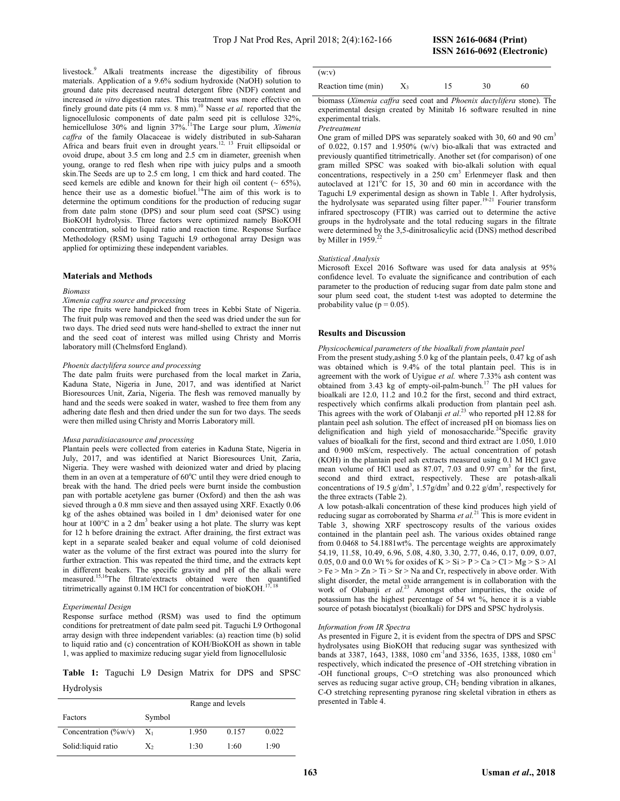livestock.<sup>9</sup> Alkali treatments increase the digestibility of fibrous materials. Application of a 9.6% sodium hydroxide (NaOH) solution to ground date pits decreased neutral detergent fibre (NDF) content and increased in vitro digestion rates. This treatment was more effective on finely ground date pits (4 mm vs. 8 mm).<sup>10</sup> Nasse et al. reported that the lignocellulosic components of date palm seed pit is cellulose 32%, hemicellulose 30% and lignin 37%.<sup>11</sup>The Large sour plum, *Ximenia* caffra of the family Olacaceae is widely distributed in sub-Saharan Africa and bears fruit even in drought years.<sup>12, 13</sup> Fruit ellipsoidal or ovoid drupe, about 3.5 cm long and 2.5 cm in diameter, greenish when young, orange to red flesh when ripe with juicy pulps and a smooth skin.The Seeds are up to 2.5 cm long, 1 cm thick and hard coated. The seed kernels are edible and known for their high oil content ( $\sim 65\%$ ), hence their use as a domestic biofuel.<sup>14</sup>The aim of this work is to determine the optimum conditions for the production of reducing sugar from date palm stone (DPS) and sour plum seed coat (SPSC) using BioKOH hydrolysis. Three factors were optimized namely BioKOH concentration, solid to liquid ratio and reaction time. Response Surface Methodology (RSM) using Taguchi L9 orthogonal array Design was applied for optimizing these independent variables.

### Materials and Methods

#### Biomass

#### Ximenia caffra source and processing

The ripe fruits were handpicked from trees in Kebbi State of Nigeria. The fruit pulp was removed and then the seed was dried under the sun for two days. The dried seed nuts were hand-shelled to extract the inner nut and the seed coat of interest was milled using Christy and Morris laboratory mill (Chelmsford England).

### Phoenix dactylifera source and processing

The date palm fruits were purchased from the local market in Zaria, Kaduna State, Nigeria in June, 2017, and was identified at Narict Bioresources Unit, Zaria, Nigeria. The flesh was removed manually by hand and the seeds were soaked in water, washed to free them from any adhering date flesh and then dried under the sun for two days. The seeds were then milled using Christy and Morris Laboratory mill.

#### Musa paradisiacasource and processing

Plantain peels were collected from eateries in Kaduna State, Nigeria in July, 2017, and was identified at Narict Bioresources Unit, Zaria, Nigeria. They were washed with deionized water and dried by placing them in an oven at a temperature of  $60^{\circ}$ C until they were dried enough to break with the hand. The dried peels were burnt inside the combustion pan with portable acetylene gas burner (Oxford) and then the ash was sieved through a 0.8 mm sieve and then assayed using XRF. Exactly 0.06 kg of the ashes obtained was boiled in  $1 \text{ dm}^3$  deionised water for one hour at  $100^{\circ}$ C in a 2 dm<sup>3</sup> beaker using a hot plate. The slurry was kept for 12 h before draining the extract. After draining, the first extract was kept in a separate sealed beaker and equal volume of cold deionised water as the volume of the first extract was poured into the slurry for further extraction. This was repeated the third time, and the extracts kept in different beakers. The specific gravity and pH of the alkali were measured.<sup>15,16</sup>The filtrate/extracts obtained were then quantified titrimetrically against 0.1M HCl for concentration of bioKOH.<sup>17,18</sup>

#### Experimental Design

Response surface method (RSM) was used to find the optimum conditions for pretreatment of date palm seed pit. Taguchi L9 Orthogonal array design with three independent variables: (a) reaction time (b) solid to liquid ratio and (c) concentration of KOH/BioKOH as shown in table 1, was applied to maximize reducing sugar yield from lignocellulosic

Table 1: Taguchi L9 Design Matrix for DPS and SPSC Hydrolysis

|                         |        | Range and levels |       |       |
|-------------------------|--------|------------------|-------|-------|
| Factors                 | Symbol |                  |       |       |
| Concentration $(\%w/v)$ | $X_1$  | 1.950            | 0.157 | 0.022 |
| Solid: liquid ratio     | X,     | 1:30             | 1:60  | 1:90  |

| (w: v)              |       |    |    |  |
|---------------------|-------|----|----|--|
| Reaction time (min) | $X_3$ | 30 | 60 |  |

biomass (Ximenia caffra seed coat and Phoenix dactylifera stone). The experimental design created by Minitab 16 software resulted in nine experimental trials.

#### Pretreatment

One gram of milled DPS was separately soaked with 30, 60 and 90 cm<sup>3</sup> of 0.022, 0.157 and 1.950% (w/v) bio-alkali that was extracted and previously quantified titrimetrically. Another set (for comparison) of one gram milled SPSC was soaked with bio-alkali solution with equal concentrations, respectively in a 250 cm<sup>3</sup> Erlenmeyer flask and then autoclaved at  $121^{\circ}$ C for 15, 30 and 60 min in accordance with the Taguchi L9 experimental design as shown in Table 1. After hydrolysis, the hydrolysate was separated using filter paper.19-21 Fourier transform infrared spectroscopy (FTIR) was carried out to determine the active groups in the hydrolysate and the total reducing sugars in the filtrate were determined by the 3,5-dinitrosalicylic acid (DNS) method described by Miller in 1959.<sup>22</sup>

#### Statistical Analysis

Microsoft Excel 2016 Software was used for data analysis at 95% confidence level. To evaluate the significance and contribution of each parameter to the production of reducing sugar from date palm stone and sour plum seed coat, the student t-test was adopted to determine the probability value ( $p = 0.05$ ).

### Results and Discussion

#### Physicochemical parameters of the bioalkali from plantain peel

From the present study,ashing 5.0 kg of the plantain peels, 0.47 kg of ash was obtained which is 9.4% of the total plantain peel. This is in agreement with the work of Uyigue et al. where 7.33% ash content was obtained from 3.43 kg of empty-oil-palm-bunch.<sup>17</sup> The pH values for bioalkali are 12.0, 11.2 and 10.2 for the first, second and third extract, respectively which confirms alkali production from plantain peel ash. This agrees with the work of Olabanji et  $al^{23}$  who reported pH 12.88 for plantain peel ash solution. The effect of increased pH on biomass lies on delignification and high yield of monosaccharide.<sup>24</sup>Specific gravity values of bioalkali for the first, second and third extract are 1.050, 1.010 and 0.900 mS/cm, respectively. The actual concentration of potash (KOH) in the plantain peel ash extracts measured using 0.1 M HCl gave mean volume of HCl used as 87.07, 7.03 and 0.97 cm<sup>3</sup> for the first, second and third extract, respectively. These are potash-alkali concentrations of 19.5  $g/dm^3$ , 1.57 $g/dm^3$  and 0.22  $g/dm^3$ , respectively for the three extracts (Table 2).

A low potash-alkali concentration of these kind produces high yield of reducing sugar as corroborated by Sharma et  $al$ <sup>21</sup>. This is more evident in Table 3, showing XRF spectroscopy results of the various oxides contained in the plantain peel ash. The various oxides obtained range from 0.0468 to 54.1881wt%. The percentage weights are approximately 54.19, 11.58, 10.49, 6.96, 5.08, 4.80, 3.30, 2.77, 0.46, 0.17, 0.09, 0.07, 0.05, 0.0 and 0.0 Wt% for oxides of  $K > Si > P > Ca > Cl > Mg > S > Al$  $>$  Fe  $>$  Mn  $>$  Zn  $>$  Ti  $>$  Sr  $>$  Na and Cr, respectively in above order. With slight disorder, the metal oxide arrangement is in collaboration with the work of Olabanji et  $al^{23}$  Amongst other impurities, the oxide of potassium has the highest percentage of 54 wt  $\frac{6}{10}$ , hence it is a viable source of potash biocatalyst (bioalkali) for DPS and SPSC hydrolysis.

#### Information from IR Spectra

As presented in Figure 2, it is evident from the spectra of DPS and SPSC hydrolysates using BioKOH that reducing sugar was synthesized with bands at 3387, 1643, 1388, 1080 cm<sup>-1</sup>and 3356, 1635, 1388, 1080 cm<sup>-1</sup> respectively, which indicated the presence of -OH stretching vibration in -OH functional groups, C=O stretching was also pronounced which serves as reducing sugar active group, CH<sub>2</sub> bending vibration in alkanes, C-O stretching representing pyranose ring skeletal vibration in ethers as presented in Table 4.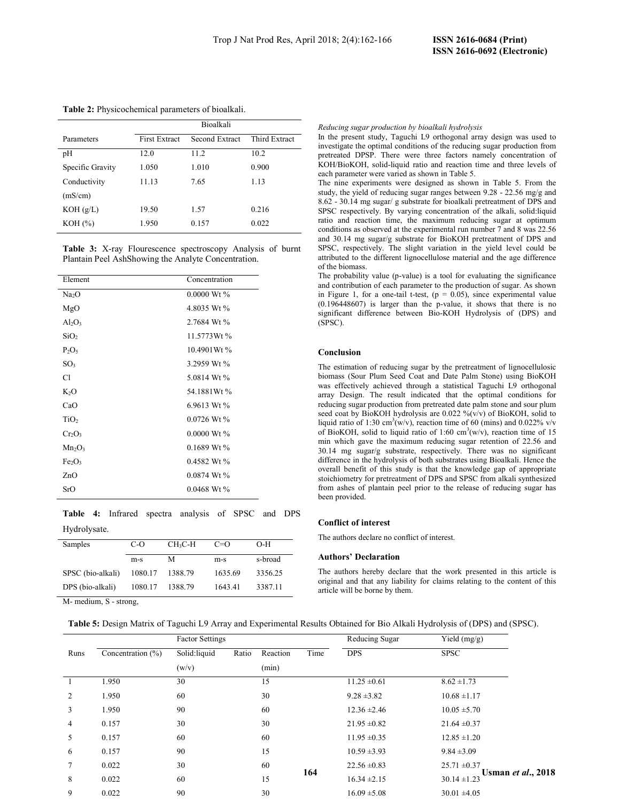|                  | <b>Bioalkali</b>     |                |               |  |
|------------------|----------------------|----------------|---------------|--|
| Parameters       | <b>First Extract</b> | Second Extract | Third Extract |  |
| pH               | 12.0                 | 11.2           | 10.2          |  |
| Specific Gravity | 1.050                | 1.010          | 0.900         |  |
| Conductivity     | 11.13                | 7.65           | 1.13          |  |
| (mS/cm)          |                      |                |               |  |
| KOH(g/L)         | 19.50                | 1.57           | 0.216         |  |
| KOH (%)          | 1.950                | 0.157          | 0.022         |  |
|                  |                      |                |               |  |

Table 3: X-ray Flourescence spectroscopy Analysis of burnt Plantain Peel AshShowing the Analyte Concentration.

| Element                        | Concentration |
|--------------------------------|---------------|
| Na <sub>2</sub> O              | 0.0000 Wt %   |
| MgO                            | 4.8035 Wt %   |
| $Al_2O_3$                      | 2.7684 Wt %   |
| SiO <sub>2</sub>               | 11.5773Wt %   |
| $P_2O_5$                       | 10.4901Wt%    |
| SO <sub>3</sub>                | 3.2959 Wt %   |
| Cl                             | 5.0814 Wt %   |
| $K_2O$                         | 54.1881Wt %   |
| CaO                            | 6.9613 Wt %   |
| TiO <sub>2</sub>               | 0.0726 Wt %   |
| $Cr_2O_3$                      | $0.0000$ Wt % |
| $Mn_2O_3$                      | 0.1689 Wt %   |
| Fe <sub>2</sub> O <sub>3</sub> | 0.4582 Wt %   |
| ZnO                            | $0.0874$ Wt % |
| SrO                            | $0.0468$ Wt % |
|                                |               |

Table 4: Infrared spectra analysis of SPSC and DPS Hydrolysate.

| Samples           | $C-O$   | $CH_3C-H$ | $C=O$   | $O-H$   |
|-------------------|---------|-----------|---------|---------|
|                   | $m-s$   | М         | $m-s$   | s-broad |
| SPSC (bio-alkali) | 1080.17 | 1388.79   | 1635.69 | 3356.25 |
| DPS (bio-alkali)  | 1080.17 | 1388.79   | 1643.41 | 3387.11 |

Reducing sugar production by bioalkali hydrolysis

In the present study, Taguchi L9 orthogonal array design was used to investigate the optimal conditions of the reducing sugar production from pretreated DPSP. There were three factors namely concentration of KOH/BioKOH, solid-liquid ratio and reaction time and three levels of each parameter were varied as shown in Table 5.

The nine experiments were designed as shown in Table 5. From the study, the yield of reducing sugar ranges between 9.28 - 22.56 mg/g and 8.62 - 30.14 mg sugar/ g substrate for bioalkali pretreatment of DPS and SPSC respectively. By varying concentration of the alkali, solid:liquid ratio and reaction time, the maximum reducing sugar at optimum conditions as observed at the experimental run number 7 and 8 was 22.56 and 30.14 mg sugar/g substrate for BioKOH pretreatment of DPS and SPSC, respectively. The slight variation in the yield level could be attributed to the different lignocellulose material and the age difference of the biomass.

The probability value (p-value) is a tool for evaluating the significance and contribution of each parameter to the production of sugar. As shown in Figure 1, for a one-tail t-test,  $(p = 0.05)$ , since experimental value (0.196448607) is larger than the p-value, it shows that there is no significant difference between Bio-KOH Hydrolysis of (DPS) and (SPSC).

#### Conclusion

The estimation of reducing sugar by the pretreatment of lignocellulosic biomass (Sour Plum Seed Coat and Date Palm Stone) using BioKOH was effectively achieved through a statistical Taguchi L9 orthogonal array Design. The result indicated that the optimal conditions for reducing sugar production from pretreated date palm stone and sour plum seed coat by BioKOH hydrolysis are 0.022 %(v/v) of BioKOH, solid to liquid ratio of 1:30 cm<sup>3</sup>(w/v), reaction time of 60 (mins) and 0.022% v/v of BioKOH, solid to liquid ratio of 1:60  $\text{cm}^3(\text{w/v})$ , reaction time of 15 min which gave the maximum reducing sugar retention of 22.56 and 30.14 mg sugar/g substrate, respectively. There was no significant difference in the hydrolysis of both substrates using Bioalkali. Hence the overall benefit of this study is that the knowledge gap of appropriate stoichiometry for pretreatment of DPS and SPSC from alkali synthesized from ashes of plantain peel prior to the release of reducing sugar has been provided.

#### Conflict of interest

The authors declare no conflict of interest.

#### Authors' Declaration

The authors hereby declare that the work presented in this article is original and that any liability for claims relating to the content of this article will be borne by them.

M- medium, S - strong,

Table 5: Design Matrix of Taguchi L9 Array and Experimental Results Obtained for Bio Alkali Hydrolysis of (DPS) and (SPSC).

|      |                       | <b>Factor Settings</b> |       |          |      | Reducing Sugar   | Yield $(mg/g)$                                |
|------|-----------------------|------------------------|-------|----------|------|------------------|-----------------------------------------------|
| Runs | Concentration $(\% )$ | Solid:liquid           | Ratio | Reaction | Time | <b>DPS</b>       | <b>SPSC</b>                                   |
|      |                       | (w/v)                  |       | (min)    |      |                  |                                               |
|      | 1.950                 | 30                     |       | 15       |      | $11.25 \pm 0.61$ | $8.62 \pm 1.73$                               |
| 2    | 1.950                 | 60                     |       | 30       |      | $9.28 \pm 3.82$  | $10.68 \pm 1.17$                              |
| 3    | 1.950                 | 90                     |       | 60       |      | $12.36 \pm 2.46$ | $10.05 \pm 5.70$                              |
| 4    | 0.157                 | 30                     |       | 30       |      | $21.95 \pm 0.82$ | $21.64 \pm 0.37$                              |
| 5    | 0.157                 | 60                     |       | 60       |      | $11.95 \pm 0.35$ | $12.85 \pm 1.20$                              |
| 6    | 0.157                 | 90                     |       | 15       |      | $10.59 \pm 3.93$ | $9.84 \pm 3.09$                               |
|      | 0.022                 | 30                     |       | 60       |      | $22.56 \pm 0.83$ | $25.71 \pm 0.37$                              |
| 8    | 0.022                 | 60                     |       | 15       | 164  | $16.34 \pm 2.15$ | <b>Usman et al., 2018</b><br>$30.14 \pm 1.23$ |
| 9    | 0.022                 | 90                     |       | 30       |      | $16.09 \pm 5.08$ | $30.01 \pm 4.05$                              |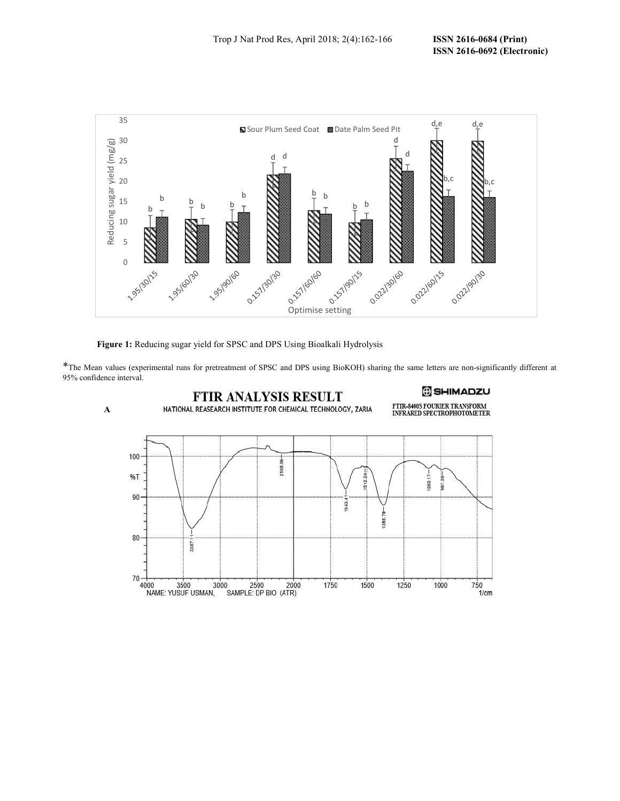

Figure 1: Reducing sugar yield for SPSC and DPS Using Bioalkali Hydrolysis

\*The Mean values (experimental runs for pretreatment of SPSC and DPS using BioKOH) sharing the same letters are non-significantly different at 95% confidence interval.

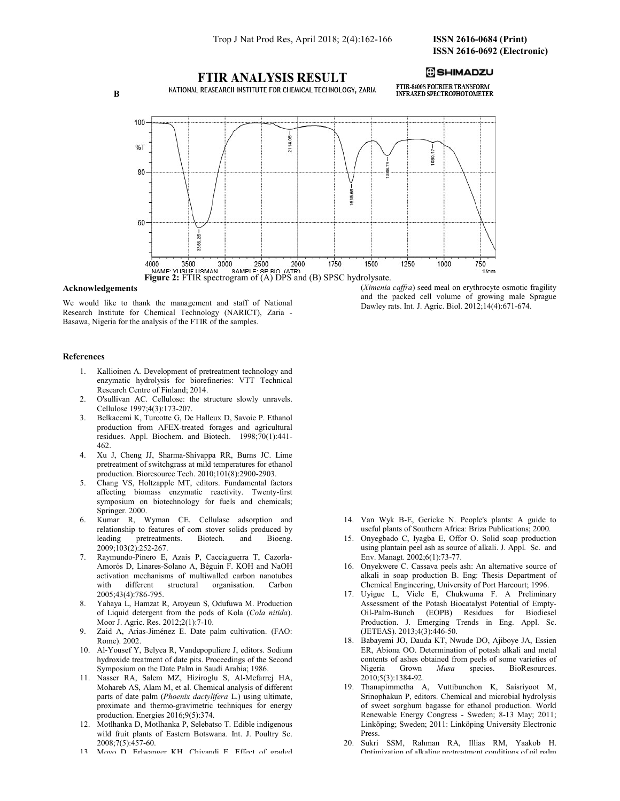

#### Acknowledgements

We would like to thank the management and staff of National Research Institute for Chemical Technology (NARICT), Zaria - Basawa, Nigeria for the analysis of the FTIR of the samples.

(Ximenia caffra) seed meal on erythrocyte osmotic fragility and the packed cell volume of growing male Sprague Dawley rats. Int. J. Agric. Biol. 2012;14(4):671-674.

### References

- 1. Kallioinen A. Development of pretreatment technology and enzymatic hydrolysis for biorefineries: VTT Technical Research Centre of Finland; 2014.
- 2. O'sullivan AC. Cellulose: the structure slowly unravels. Cellulose 1997;4(3):173-207.
- 3. Belkacemi K, Turcotte G, De Halleux D, Savoie P. Ethanol production from AFEX-treated forages and agricultural residues. Appl. Biochem. and Biotech. 1998;70(1):441- 462.
- 4. Xu J, Cheng JJ, Sharma-Shivappa RR, Burns JC. Lime pretreatment of switchgrass at mild temperatures for ethanol production. Bioresource Tech. 2010;101(8):2900-2903.
- 5. Chang VS, Holtzapple MT, editors. Fundamental factors affecting biomass enzymatic reactivity. Twenty-first symposium on biotechnology for fuels and chemicals; Springer. 2000.
- 6. Kumar R, Wyman CE. Cellulase adsorption and relationship to features of corn stover solids produced by leading pretreatments. Biotech. and Bioeng. 2009;103(2):252-267.
- 7. Raymundo-Pinero E, Azais P, Cacciaguerra T, Cazorla-Amorós D, Linares-Solano A, Béguin F. KOH and NaOH activation mechanisms of multiwalled carbon nanotubes with different structural organisation. Carbon 2005;43(4):786-795.
- 8. Yahaya L, Hamzat R, Aroyeun S, Odufuwa M. Production of Liquid detergent from the pods of Kola (Cola nitida). Moor J. Agric. Res. 2012;2(1):7-10.
- 9. Zaid A, Arias-Jiménez E. Date palm cultivation. (FAO: Rome). 2002.
- 10. Al-Yousef Y, Belyea R, Vandepopuliere J, editors. Sodium hydroxide treatment of date pits. Proceedings of the Second Symposium on the Date Palm in Saudi Arabia; 1986.
- 11. Nasser RA, Salem MZ, Hiziroglu S, Al-Mefarrej HA, Mohareb AS, Alam M, et al. Chemical analysis of different parts of date palm (Phoenix dactylifera L.) using ultimate, proximate and thermo-gravimetric techniques for energy production. Energies 2016;9(5):374.
- 12. Motlhanka D, Motlhanka P, Selebatso T. Edible indigenous wild fruit plants of Eastern Botswana. Int. J. Poultry Sc. 2008;7(5):457-60.
- 13. Moyo D, Erlwanger KH, Chivandi E. Effect of graded
- 14. Van Wyk B-E, Gericke N. People's plants: A guide to useful plants of Southern Africa: Briza Publications; 2000.
- 15. Onyegbado C, Iyagba E, Offor O. Solid soap production using plantain peel ash as source of alkali. J. Appl. Sc. and Env. Managt. 2002;6(1):73-77.
- 16. Onyekwere C. Cassava peels ash: An alternative source of alkali in soap production B. Eng: Thesis Department of Chemical Engineering, University of Port Harcourt; 1996.
- 17. Uyigue L, Viele E, Chukwuma F. A Preliminary Assessment of the Potash Biocatalyst Potential of Empty-Oil-Palm-Bunch (EOPB) Residues for Biodiesel Production. J. Emerging Trends in Eng. Appl. Sc. (JETEAS). 2013;4(3):446-50.
- 18. Babayemi JO, Dauda KT, Nwude DO, Ajiboye JA, Essien ER, Abiona OO. Determination of potash alkali and metal contents of ashes obtained from peels of some varieties of Nigeria Grown Musa species. BioResources. 2010;5(3):1384-92.
- 19. Thanapimmetha A, Vuttibunchon K, Saisriyoot M, Srinophakun P, editors. Chemical and microbial hydrolysis of sweet sorghum bagasse for ethanol production. World Renewable Energy Congress - Sweden; 8-13 May; 2011; Linköping; Sweden; 2011: Linköping University Electronic Press.
- 20. Sukri SSM, Rahman RA, Illias RM, Yaakob H. Optimization of alkaline pretreatment conditions of oil palm